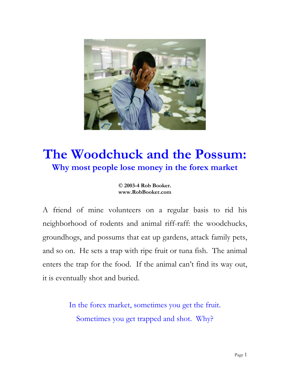

## **The Woodchuck and the Possum: Why most people lose money in the forex market**

**© 2003-4 Rob Booker. www.RobBooker.com** 

A friend of mine volunteers on a regular basis to rid his neighborhood of rodents and animal riff-raff: the woodchucks, groundhogs, and possums that eat up gardens, attack family pets, and so on. He sets a trap with ripe fruit or tuna fish. The animal enters the trap for the food. If the animal can't find its way out, it is eventually shot and buried.

> In the forex market, sometimes you get the fruit. Sometimes you get trapped and shot. Why?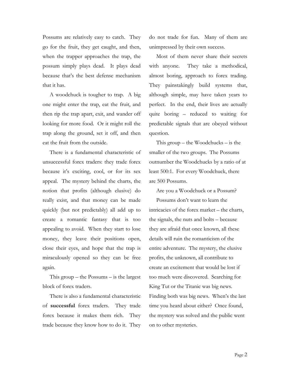Possums are relatively easy to catch. They go for the fruit, they get caught, and then, when the trapper approaches the trap, the possum simply plays dead. It plays dead because that's the best defense mechanism that it has.

 A woodchuck is tougher to trap. A big one might enter the trap, eat the fruit, and then rip the trap apart, exit, and wander off looking for more food. Or it might roll the trap along the ground, set it off, and then eat the fruit from the outside.

 There is a fundamental characteristic of unsuccessful forex traders: they trade forex because it's exciting, cool, or for its sex appeal. The mystery behind the charts, the notion that profits (although elusive) do really exist, and that money can be made quickly (but not predictably) all add up to create a romantic fantasy that is too appealing to avoid. When they start to lose money, they leave their positions open, close their eyes, and hope that the trap is miraculously opened so they can be free again.

 This group – the Possums – is the largest block of forex traders.

 There is also a fundamental characteristic of **successful** forex traders. They trade forex because it makes them rich. They trade because they know how to do it. They do not trade for fun. Many of them are unimpressed by their own success.

 Most of them never share their secrets with anyone. They take a methodical, almost boring, approach to forex trading. They painstakingly build systems that, although simple, may have taken years to perfect. In the end, their lives are actually quite boring – reduced to waiting for predictable signals that are obeyed without question.

 This group – the Woodchucks – is the smaller of the two groups. The Possums outnumber the Woodchucks by a ratio of at least 500:1. For every Woodchuck, there are 500 Possums.

Are you a Woodchuck or a Possum?

 Possums don't want to learn the intricacies of the forex market – the charts, the signals, the nuts and bolts – because they are afraid that once known, all these details will ruin the romanticism of the entire adventure. The mystery, the elusive profits, the unknown, all contribute to create an excitement that would be lost if too much were discovered. Searching for King Tut or the Titanic was big news. Finding both was big news. When's the last time you heard about either? Once found, the mystery was solved and the public went on to other mysteries.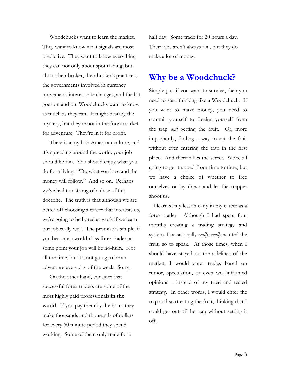Woodchucks want to learn the market. They want to know what signals are most predictive. They want to know everything they can not only about spot trading, but about their broker, their broker's practices, the governments involved in currency movement, interest rate changes, and the list goes on and on. Woodchucks want to know as much as they can. It might destroy the mystery, but they're not in the forex market for adventure. They're in it for profit.

 There is a myth in American culture, and it's spreading around the world: your job should be fun. You should enjoy what you do for a living. "Do what you love and the money will follow." And so on. Perhaps we've had too strong of a dose of this doctrine. The truth is that although we are better off choosing a career that interests us, we're going to be bored at work if we learn our job really well. The promise is simple: if you become a world-class forex trader, at some point your job will be ho-hum. Not all the time, but it's not going to be an adventure every day of the week. Sorry.

 On the other hand, consider that successful forex traders are some of the most highly paid professionals **in the world**. If you pay them by the hour, they make thousands and thousands of dollars for every 60 minute period they spend working. Some of them only trade for a

half day. Some trade for 20 hours a day. Their jobs aren't always fun, but they do make a lot of money.

### **Why be a Woodchuck?**

Simply put, if you want to survive, then you need to start thinking like a Woodchuck. If you want to make money, you need to commit yourself to freeing yourself from the trap *and* getting the fruit. Or, more importantly, finding a way to eat the fruit without ever entering the trap in the first place. And therein lies the secret. We're all going to get trapped from time to time, but we have a choice of whether to free ourselves or lay down and let the trapper shoot us.

 I learned my lesson early in my career as a forex trader. Although I had spent four months creating a trading strategy and system, I occasionally *really, really* wanted the fruit, so to speak. At those times, when I should have stayed on the sidelines of the market, I would enter trades based on rumor, speculation, or even well-informed opinions – instead of my tried and tested strategy. In other words, I would enter the trap and start eating the fruit, thinking that I could get out of the trap without setting it off.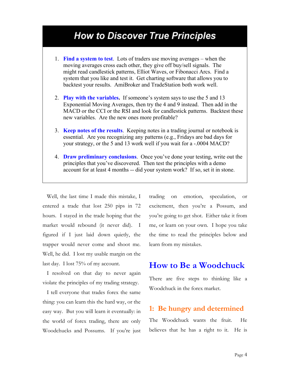## **How to Discover True Principles**

- 1. **Find a system to test**.Lots of traders use moving averages when the moving averages cross each other, they give off buy/sell signals. The might read candlestick patterns, Elliot Waves, or Fibonacci Arcs. Find a system that you like and test it. Get charting software that allows you to backtest your results. AmiBroker and TradeStation both work well.
- 2. **Play with the variables.** If someone's system says to use the 5 and 13 Exponential Moving Averages, then try the 4 and 9 instead. Then add in the MACD or the CCI or the RSI and look for candlestick patterns. Backtest these new variables. Are the new ones more profitable?
- 3. **Keep notes of the results**. Keeping notes in a trading journal or notebook is essential. Are you recognizing any patterns (e.g., Fridays are bad days for your strategy, or the 5 and 13 work well if you wait for a -.0004 MACD?
- 4. **Draw preliminary conclusions**. Once you've done your testing, write out the principles that you've discovered. Then test the principles with a demo account for at least 4 months -- did your system work? If so, set it in stone.

 Well, the last time I made this mistake, I entered a trade that lost 250 pips in 72 hours. I stayed in the trade hoping that the market would rebound (it never did). I figured if I just laid down quietly, the trapper would never come and shoot me. Well, he did. I lost my usable margin on the last day. I lost 75% of my account.

 I resolved on that day to never again violate the principles of my trading strategy.

 I tell everyone that trades forex the same thing: you can learn this the hard way, or the easy way. But you will learn it eventually: in the world of forex trading, there are only Woodchucks and Possums. If you're just trading on emotion, speculation, or excitement, then you're a Possum, and you're going to get shot. Either take it from me, or learn on your own. I hope you take the time to read the principles below and learn from my mistakes.

#### **How to Be a Woodchuck**

There are five steps to thinking like a Woodchuck in the forex market.

#### **1: Be hungry and determined**

The Woodchuck wants the fruit. He believes that he has a right to it. He is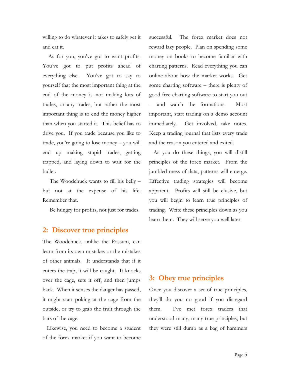willing to do whatever it takes to safely get it and eat it.

 As for you, you've got to want profits. You've got to put profits ahead of everything else. You've got to say to yourself that the most important thing at the end of the money is not making lots of trades, or any trades, but rather the most important thing is to end the money higher than when you started it. This belief has to drive you. If you trade because you like to trade, you're going to lose money – you will end up making stupid trades, getting trapped, and laying down to wait for the bullet.

 The Woodchuck wants to fill his belly – but not at the expense of his life. Remember that.

Be hungry for profits, not just for trades.

#### **2: Discover true principles**

The Woodchuck, unlike the Possum, can learn from its own mistakes or the mistakes of other animals. It understands that if it enters the trap, it will be caught. It knocks over the cage, sets it off, and then jumps back. When it senses the danger has passed, it might start poking at the cage from the outside, or try to grab the fruit through the bars of the cage.

 Likewise, you need to become a student of the forex market if you want to become successful. The forex market does not reward lazy people. Plan on spending some money on books to become familiar with charting patterns. Read everything you can online about how the market works. Get some charting software – there is plenty of good free charting software to start you out – and watch the formations. Most important, start trading on a demo account immediately. Get involved, take notes. Keep a trading journal that lists every trade and the reason you entered and exited.

 As you do these things, you will distill principles of the forex market. From the jumbled mess of data, patterns will emerge. Effective trading strategies will become apparent. Profits will still be elusive, but you will begin to learn true principles of trading. Write these principles down as you learn them. They will serve you well later.

#### **3: Obey true principles**

Once you discover a set of true principles, they'll do you no good if you disregard them. I've met forex traders that understood many, many true principles, but they were still dumb as a bag of hammers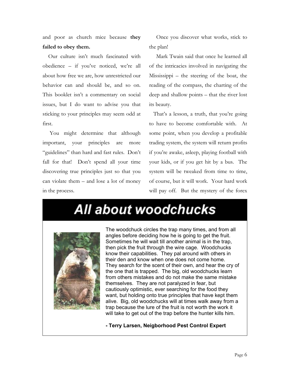and poor as church mice because **they failed to obey them.**

 Our culture isn't much fascinated with obedience – if you've noticed, we're all about how free we are, how unrestricted our behavior can and should be, and so on. This booklet isn't a commentary on social issues, but I do want to advise you that sticking to your principles may seem odd at first.

 You might determine that although important, your principles are more "guidelines" than hard and fast rules. Don't fall for that! Don't spend all your time discovering true principles just so that you can violate them – and lose a lot of money in the process.

 Once you discover what works, stick to the plan!

 Mark Twain said that once he learned all of the intricacies involved in navigating the Mississippi – the steering of the boat, the reading of the compass, the charting of the deep and shallow points – that the river lost its beauty.

 That's a lesson, a truth, that you're going to have to become comfortable with. At some point, when you develop a profitable trading system, the system will return profits if you're awake, asleep, playing football with your kids, or if you get hit by a bus. The system will be tweaked from time to time, of course, but it will work. Your hard work will pay off. But the mystery of the forex

# All about woodchucks



The woodchuck circles the trap many times, and from all angles before deciding how he is going to get the fruit. Sometimes he will wait till another animal is in the trap, then pick the fruit through the wire cage. Woodchucks know their capabilities. They pal around with others in their den and know when one does not come home. They search for the scent of their own, and hear the cry of the one that is trapped. The big, old woodchucks learn from others mistakes and do not make the same mistake themselves. They are not paralyzed in fear, but cautiously optimistic, ever searching for the food they want, but holding onto true principles that have kept them alive. Big, old woodchucks will at times walk away from a trap because the lure of the fruit is not worth the work it will take to get out of the trap before the hunter kills him.

**- Terry Larsen, Neigborhood Pest Control Expert**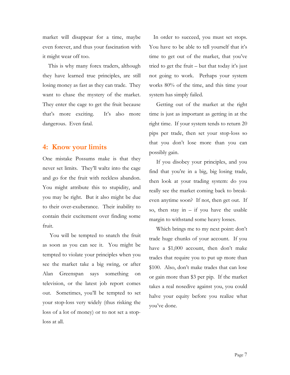market will disappear for a time, maybe even forever, and thus your fascination with it might wear off too.

 This is why many forex traders, although they have learned true principles, are still losing money as fast as they can trade. They want to chase the mystery of the market. They enter the cage to get the fruit because that's more exciting. It's also more dangerous. Even fatal.

#### **4: Know your limits**

One mistake Possums make is that they never set limits. They'll waltz into the cage and go for the fruit with reckless abandon. You might attribute this to stupidity, and you may be right. But it also might be due to their over-exuberance. Their inability to contain their excitement over finding some fruit.

 You will be tempted to snatch the fruit as soon as you can see it. You might be tempted to violate your principles when you see the market take a big swing, or after Alan Greenspan says something on television, or the latest job report comes out. Sometimes, you'll be tempted to set your stop-loss very widely (thus risking the loss of a lot of money) or to not set a stoploss at all.

 In order to succeed, you must set stops. You have to be able to tell yourself that it's time to get out of the market, that you've tried to get the fruit – but that today it's just not going to work. Perhaps your system works 80% of the time, and this time your system has simply failed.

 Getting out of the market at the right time is just as important as getting in at the right time. If your system tends to return 20 pips per trade, then set your stop-loss so that you don't lose more than you can possibly gain.

 If you disobey your principles, and you find that you're in a big, big losing trade, then look at your trading system: do you really see the market coming back to breakeven anytime soon? If not, then get out. If so, then stay in  $-$  if you have the usable margin to withstand some heavy losses.

 Which brings me to my next point: don't trade huge chunks of your account. If you have a \$1,000 account, then don't make trades that require you to put up more than \$100. Also, don't make trades that can lose or gain more than \$3 per pip. If the market takes a real nosedive against you, you could halve your equity before you realize what you've done.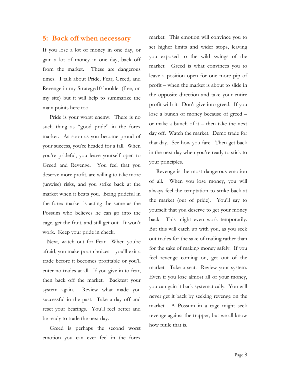#### **5: Back off when necessary**

If you lose a lot of money in one day, or gain a lot of money in one day, back off from the market. These are dangerous times. I talk about Pride, Fear, Greed, and Revenge in my Strategy:10 booklet (free, on my site) but it will help to summarize the main points here too.

 Pride is your worst enemy. There is no such thing as "good pride" in the forex market. As soon as you become proud of your success, you're headed for a fall. When you're prideful, you leave yourself open to Greed and Revenge. You feel that you deserve more profit, are willing to take more (unwise) risks, and you strike back at the market when it beats you. Being prideful in the forex market is acting the same as the Possum who believes he can go into the cage, get the fruit, and still get out. It won't work. Keep your pride in check.

 Next, watch out for Fear. When you're afraid, you make poor choices – you'll exit a trade before it becomes profitable or you'll enter no trades at all. If you give in to fear, then back off the market. Backtest your system again. Review what made you successful in the past. Take a day off and reset your bearings. You'll feel better and be ready to trade the next day.

 Greed is perhaps the second worst emotion you can ever feel in the forex market. This emotion will convince you to set higher limits and wider stops, leaving you exposed to the wild swings of the market. Greed is what convinces you to leave a position open for one more pip of profit – when the market is about to slide in the opposite direction and take your entire profit with it. Don't give into greed. If you lose a bunch of money because of greed – or make a bunch of it – then take the next day off. Watch the market. Demo trade for that day. See how you fare. Then get back in the next day when you're ready to stick to your principles.

 Revenge is the most dangerous emotion of all. When you lose money, you will always feel the temptation to strike back at the market (out of pride). You'll say to yourself that you deserve to get your money back. This might even work temporarily. But this will catch up with you, as you seek out trades for the sake of trading rather than for the sake of making money safely. If you feel revenge coming on, get out of the market. Take a seat. Review your system. Even if you lose almost all of your money, you can gain it back systematically. You will never get it back by seeking revenge on the market. A Possum in a cage might seek revenge against the trapper, but we all know how futile that is.